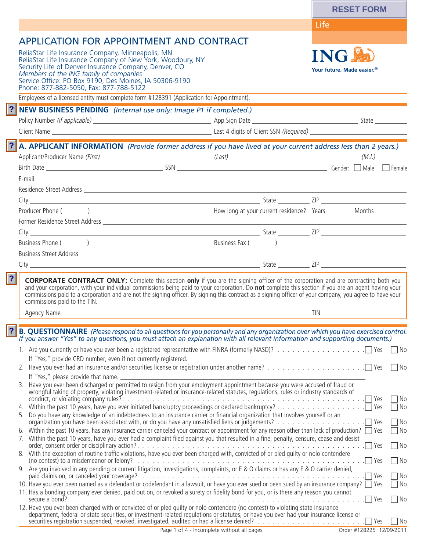|                                                                                                                                                                                                                                                                                                                                                                                                |                                             | <b>RESET FORM</b>                                    |
|------------------------------------------------------------------------------------------------------------------------------------------------------------------------------------------------------------------------------------------------------------------------------------------------------------------------------------------------------------------------------------------------|---------------------------------------------|------------------------------------------------------|
|                                                                                                                                                                                                                                                                                                                                                                                                |                                             | Life                                                 |
| <b>APPLICATION FOR APPOINTMENT AND CONTRACT</b>                                                                                                                                                                                                                                                                                                                                                |                                             |                                                      |
| ReliaStar Life Insurance Company, Minneapolis, MN<br>ReliaStar Life Insurance Company of New York, Woodbury, NY<br>Security Life of Denver Insurance Company, Denver, CO<br>Members of the ING family of companies<br>Service Office: PO Box 9190, Des Moines, IA 50306-9190<br>Phone: 877-882-5050, Fax: 877-788-5122                                                                         |                                             | <b>ING</b><br>Your future. Made easier. <sup>®</sup> |
| Employees of a licensed entity must complete form #128391 (Application for Appointment).                                                                                                                                                                                                                                                                                                       |                                             |                                                      |
| ? <br>NEW BUSINESS PENDING (Internal use only: Image P1 if completed.)                                                                                                                                                                                                                                                                                                                         |                                             |                                                      |
|                                                                                                                                                                                                                                                                                                                                                                                                |                                             |                                                      |
| ? <br>A. APPLICANT INFORMATION (Provide former address if you have lived at your current address less than 2 years.)<br>Birth Date Gender: Male Female<br>E-mail <u>contract and the contract of the contract of the contract of the contract of the contract of the contract of the contract of the contract of the contract of the contract of the contract of the contract of the contr</u> |                                             |                                                      |
|                                                                                                                                                                                                                                                                                                                                                                                                |                                             |                                                      |
|                                                                                                                                                                                                                                                                                                                                                                                                |                                             |                                                      |
|                                                                                                                                                                                                                                                                                                                                                                                                |                                             |                                                      |
| Former Residence Street Address 2008 2009 2010 2020 2021 2022 2023 2024 2022 2023 2024 2022 2023 2024 2022 202                                                                                                                                                                                                                                                                                 |                                             |                                                      |
| Business Phone (Champion Communication Communication Communication Communication Communication Communication Communication Communication Communication Communication Communication Communication Communication Communication C                                                                                                                                                                 |                                             |                                                      |
|                                                                                                                                                                                                                                                                                                                                                                                                |                                             |                                                      |
|                                                                                                                                                                                                                                                                                                                                                                                                |                                             |                                                      |
| and your corporation, with your individual commissions being paid to your corporation. Do <b>not</b> complete this section if you are an agent having your commissions paid to a corporation and are not the signing officer. By si<br>commissions paid to the TIN.<br>Agency Name                                                                                                             |                                             | TIN 1                                                |
| <b>B. QUESTIONNAIRE</b> (Please respond to all questions for you personally and any organization over which you have exercised control.<br>If you answer "Yes" to any questions, you must attach an explanation with all relevant info                                                                                                                                                         |                                             |                                                      |
|                                                                                                                                                                                                                                                                                                                                                                                                |                                             |                                                      |
| If "Yes," provide CRD number, even if not currently registered.                                                                                                                                                                                                                                                                                                                                |                                             | $\Box$ No                                            |
|                                                                                                                                                                                                                                                                                                                                                                                                |                                             | ∏ No                                                 |
| If "Yes," please provide that name.<br>3. Have you ever been discharged or permitted to resign from your employment appointment because you were accused of fraud or<br>wrongful taking of property, violating investment-related or insurance-related statutes, regulations, rules or industry standards of                                                                                   |                                             |                                                      |
| 5. Do you have any knowledge of an indebtedness to an insurance carrier or financial organization that involves yourself or an                                                                                                                                                                                                                                                                 |                                             | No<br>7 No<br>7 No                                   |
| 6. Within the past 10 years, has any insurance carrier canceled your contract or appointment for any reason other than lack of production? $\Box$ Yes<br>7. Within the past 10 years, have you ever had a complaint filed against you that resulted in a fine, penalty, censure, cease and desist                                                                                              |                                             | $\neg$ No                                            |
| 8. With the exception of routine traffic violations, have you ever been charged with, convicted of or pled quilty or nolo contendere                                                                                                                                                                                                                                                           |                                             | □ No<br>∩No                                          |
| 9. Are you involved in any pending or current litigation, investigations, complaints, or E & O claims or has any E & O carrier denied,                                                                                                                                                                                                                                                         |                                             | $\Box$ Yes<br>∏No                                    |
| 10. Have you ever been named as a defendant or codefendant in a lawsuit, or have you ever sued or been sued by an insurance company? T Yes<br>11. Has a bonding company ever denied, paid out on, or revoked a surety or fidelity bond for you, or is there any reason you cannot                                                                                                              |                                             | ∏No<br>$\neg$ No                                     |
| 12. Have you ever been charged with or convicted of or pled guilty or nolo contendere (no contest) to violating state insurance<br>department, federal or state securities, or investment-related regulations or statutes, or have you ever had your insurance license or                                                                                                                      |                                             | No                                                   |
|                                                                                                                                                                                                                                                                                                                                                                                                | Page 1 of 4 - Incomplete without all pages. | Order #128225 12/09/2011                             |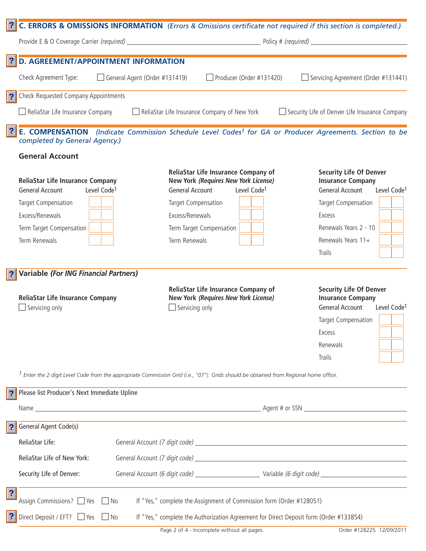|                         |                                                                                              | C. ERRORS & OMISSIONS INFORMATION (Errors & Omissions certificate not required if this section is completed.)                           |                                                                                                                 |
|-------------------------|----------------------------------------------------------------------------------------------|-----------------------------------------------------------------------------------------------------------------------------------------|-----------------------------------------------------------------------------------------------------------------|
|                         |                                                                                              |                                                                                                                                         |                                                                                                                 |
| ?                       | <b>D. AGREEMENT/APPOINTMENT INFORMATION</b>                                                  |                                                                                                                                         |                                                                                                                 |
|                         | Check Agreement Type:<br>General Agent (Order #131419)                                       | Producer (Order #131420)<br>$\Box$                                                                                                      | Servicing Agreement (Order #131441)                                                                             |
|                         | Check Requested Company Appointments                                                         |                                                                                                                                         |                                                                                                                 |
|                         | ReliaStar Life Insurance Company                                                             | $\Box$ ReliaStar Life Insurance Company of New York                                                                                     | Security Life of Denver Life Insurance Company                                                                  |
| ?                       | completed by General Agency.)                                                                | E. COMPENSATION (Indicate Commission Schedule Level Codes <sup>1</sup> for GA or Producer Agreements. Section to be                     |                                                                                                                 |
|                         | <b>General Account</b>                                                                       |                                                                                                                                         |                                                                                                                 |
|                         | <b>ReliaStar Life Insurance Company</b><br>Level Code <sup>1</sup><br><b>General Account</b> | ReliaStar Life Insurance Company of<br>New York (Requires New York License)<br>Level Code <sup>1</sup><br><b>General Account</b>        | <b>Security Life Of Denver</b><br><b>Insurance Company</b><br><b>General Account</b><br>Level Code <sup>1</sup> |
|                         | Target Compensation                                                                          | Target Compensation                                                                                                                     | Target Compensation                                                                                             |
|                         | Excess/Renewals                                                                              | Excess/Renewals                                                                                                                         | Excess                                                                                                          |
|                         | Term Target Compensation                                                                     | Term Target Compensation                                                                                                                | Renewals Years 2 - 10                                                                                           |
|                         | Term Renewals                                                                                | Term Renewals                                                                                                                           | Renewals Years 11+                                                                                              |
|                         |                                                                                              |                                                                                                                                         | <b>Trails</b>                                                                                                   |
|                         | <b>Variable (For ING Financial Partners)</b>                                                 |                                                                                                                                         |                                                                                                                 |
|                         | <b>ReliaStar Life Insurance Company</b>                                                      | ReliaStar Life Insurance Company of<br>New York (Requires New York License)                                                             | <b>Security Life Of Denver</b><br><b>Insurance Company</b>                                                      |
|                         | $\Box$ Servicing only                                                                        | $\Box$ Servicing only                                                                                                                   | <b>General Account</b><br>Level Code <sup>1</sup>                                                               |
|                         |                                                                                              |                                                                                                                                         | Target Compensation                                                                                             |
|                         |                                                                                              |                                                                                                                                         | Excess                                                                                                          |
|                         |                                                                                              |                                                                                                                                         | Renewals                                                                                                        |
|                         |                                                                                              |                                                                                                                                         | Trails                                                                                                          |
|                         |                                                                                              | $1$ Enter the 2 digit Level Code from the appropriate Commission Grid (i.e., "07"). Grids should be obtained from Regional home office. |                                                                                                                 |
|                         | Please list Producer's Next Immediate Upline                                                 |                                                                                                                                         |                                                                                                                 |
|                         |                                                                                              |                                                                                                                                         |                                                                                                                 |
| $\overline{\mathbf{?}}$ | General Agent Code(s)                                                                        |                                                                                                                                         |                                                                                                                 |
|                         | ReliaStar Life:                                                                              |                                                                                                                                         |                                                                                                                 |
|                         | ReliaStar Life of New York:                                                                  |                                                                                                                                         |                                                                                                                 |
|                         | Security Life of Denver:                                                                     |                                                                                                                                         |                                                                                                                 |
| $\overline{\mathbf{?}}$ | Assign Commissions? □ Yes<br>$\neg$ No                                                       | If "Yes," complete the Assignment of Commission form (Order #128051)                                                                    |                                                                                                                 |
|                         | Direct Deposit / EFT? □ Yes<br>$\Box$ No                                                     | If "Yes," complete the Authorization Agreement for Direct Deposit form (Order #133854)                                                  |                                                                                                                 |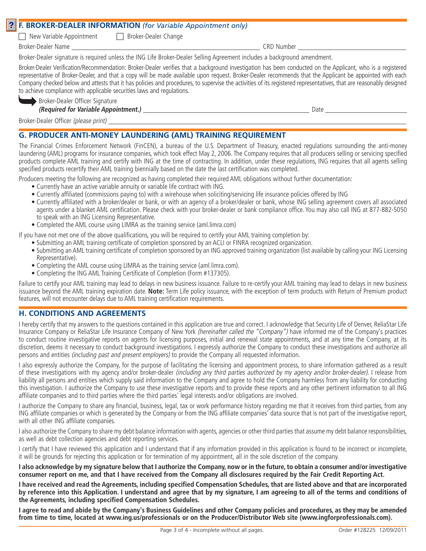## **F. BROKER-DEALER INFORMATION** *(for Variable Appointment only)* **?**

 $\Box$  New Variable Appointment  $\Box$  Broker-Dealer Change

Broker-Dealer Name CRD Number

Broker-Dealer signature is required unless the ING Life Broker-Dealer Selling Agreement includes a background amendment.

Broker-Dealer Verification/Recommendation: Broker-Dealer verifies that a background investigation has been conducted on the Applicant, who is a registered representative of Broker-Dealer, and that a copy will be made available upon request. Broker-Dealer recommends that the Applicant be appointed with each Company checked below and attests that it has policies and procedures, to supervise the activities of its registered representatives, that are reasonably designed to achieve compliance with applicable securities laws and regulations.

| Broker-Dealer Officer Signature |  |
|---------------------------------|--|
| Doguired for Variable Annointe  |  |

Broker-Dealer Officer Signature ¬**(Required for Variable Appointment.)** Date

Broker-Dealer Officer (please print)

## **G. PRODUCER ANTI-MONEY LAUNDERING (AML) TRAINING REQUIREMENT**

The Financial Crimes Enforcement Network (FinCEN), a bureau of the U.S. Department of Treasury, enacted regulations surrounding the anti-money laundering (AML) programs for insurance companies, which took effect May 2, 2006. The Company requires that all producers selling or servicing specified products complete AML training and certify with ING at the time of contracting. In addition, under these regulations, ING requires that all agents selling specified products recertify their AML training biennially based on the date the last certification was completed.

Producers meeting the following are recognized as having completed their required AML obligations without further documentation:

- Currently have an active variable annuity or variable life contract with ING.
- Currently affiliated (commissions paying to) with a wirehouse when soliciting/servicing life insurance policies offered by ING
- Currently affiliated with a broker/dealer or bank, or with an agency of a broker/dealer or bank, whose ING selling agreement covers all associated agents under a blanket AML certification. Please check with your broker-dealer or bank compliance office. You may also call ING at 877-882-5050 to speak with an ING Licensing Representative.
- Completed the AML course using LIMRA as the training service (aml.limra.com)

If you have not met one of the above qualifications, you will be required to certify your AML training completion by:

- Submitting an AML training certificate of completion sponsored by an ACLI or FINRA recognized organization.
- Submitting an AML training certificate of completion sponsored by an ING approved training organization (list available by calling your ING Licensing Representative).
- Completing the AML course using LIMRA as the training service (aml.limra.com).
- Completing the ING AML Training Certificate of Completion (Form #137305).

Failure to certify your AML training may lead to delays in new business issuance. Failure to re-certify your AML training may lead to delays in new business issuance beyond the AML training expiration date. **Note:** Term Life policy issuance, with the exception of term products with Return of Premium product features, will not encounter delays due to AML training certification requirements.

## **H. CONDITIONS AND AGREEMENTS**

I hereby certify that my answers to the questions contained in this application are true and correct. I acknowledge that Security Life of Denver, ReliaStar Life Insurance Company or ReliaStar Life Insurance Company of New York (hereinafter called the "Company") have informed me of the Company's practices to conduct routine investigative reports on agents for licensing purposes, initial and renewal state appointments, and at any time the Company, at its discretion, deems it necessary to conduct background investigations. I expressly authorize the Company to conduct these investigations and authorize all persons and entities (including past and present employers) to provide the Company all requested information.

I also expressly authorize the Company, for the purpose of facilitating the licensing and appointment process, to share information gathered as a result of these investigations with my agency and/or broker-dealer (including any third parties authorized by my agency and/or broker-dealer). I release from liability all persons and entities which supply said information to the Company and agree to hold the Company harmless from any liability for conducting this investigation. I authorize the Company to use these investigative reports and to provide these reports and any other pertinent information to all ING affiliate companies and to third parties where the third parties' legal interests and/or obligations are involved.

I authorize the Company to share any financial, business, legal, tax or work performance history regarding me that it receives from third parties, from any ING affiliate companies or which is generated by the Company or from the ING affiliate companies' data source that is not part of the investigative report, with all other ING affiliate companies.

I also authorize the Company to share my debt balance information with agents, agencies or other third parties that assume my debt balance responsibilities, as well as debt collection agencies and debt reporting services.

I certify that I have reviewed this application and I understand that if any information provided in this application is found to be incorrect or incomplete, it will be grounds for rejecting this application or for termination of my appointment, all in the sole discretion of the company.

**I also acknowledge by my signature below that I authorize the Company, now or in the future, to obtain a consumer and/or investigative consumer report on me, and that I have received from the Company all disclosures required by the Fair Credit Reporting Act.**

**I have received and read the Agreements, including specified Compensation Schedules, that are listed above and that are incorporated by reference into this Application. I understand and agree that by my signature, I am agreeing to all of the terms and conditions of the Agreements, including specified Compensation Schedules.**

**I agree to read and abide by the Company's Business Guidelines and other Company policies and procedures, as they may be amended from time to time, located at www.ing.us/professionals or on the Producer/Distributor Web site (www.ingforprofessionals.com).**